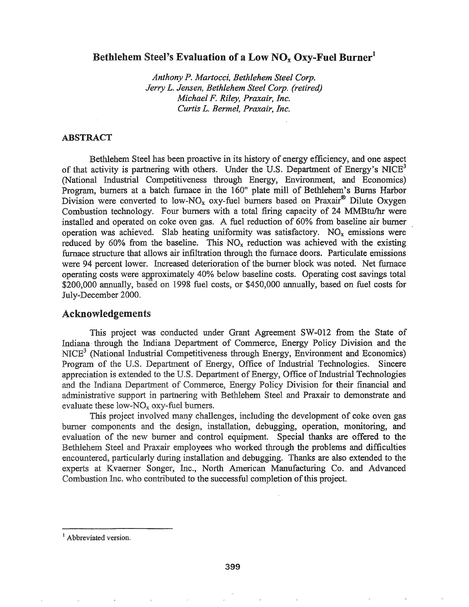# Bethlehem Steel's Evaluation of a Low  $NO<sub>x</sub> O<sub>xy</sub>$ -Fuel Burner<sup>1</sup>

*Anthony P. Martocci, Bethlehem Steel Corp. Jerry L. Jensen, Bethlehem Steel Corp. (retired) Michael F. Riley, Praxair, Inc. Curtis L. Bermel, Praxair, Inc.*

### ABSTRACT

Bethlehem Steel has been proactive in its history of energy efficiency, and one aspect of that activity is partnering with others. Under the U.S. Department of Energy's NICE<sup>3</sup> (National Industrial Competitiveness through Energy, Environment, and Economics) Program, burners at a batch furnace in the 160" plate mill of Bethlehem's Bums Harbor Division were converted to low-NO<sub>x</sub> oxy-fuel burners based on Praxair<sup>®</sup> Dilute Oxygen Combustion technology. Four burners with a total firing capacity of 24 MMBtu/hr were installed and operated on coke oven gas. A fuel reduction of 60% from baseline air burner operation was achieved. Slab heating uniformity was satisfactory.  $NO_x$  emissions were reduced by 60% from the baseline. This  $NO_x$  reduction was achieved with the existing furnace structure that allows air infiltration through the furnace doors. Particulate emissions were 94 percent lower. Increased deterioration of the burner block was noted. Net furnace operating costs were approximately 40% below baseline costs. Operating cost savings total \$200,000 annually, based on 1998 fuel costs, or \$450,000 annually, based on fuel costs for July-December 2000.

### Acknowledgements

This project was conducted under Grant Agreement SW-012 from the State of Indiana through the Indiana Department of Commerce, Energy Policy Division and the  $NICE<sup>3</sup>$  (National Industrial Competitiveness through Energy, Environment and Economics) Program of the U.S. Department of Energy, Office of Industrial Technologies. Sincere appreciation is extended to the U.S. Department of Energy, Office of Industrial Technologies and the Indiana Department of Commerce, Energy Policy Division for their financial and administrative support in partnering with Bethlehem Steel and Praxair to demonstrate and evaluate these low- $NO<sub>x</sub>$  oxy-fuel burners.

This project involved many challenges, including the development of coke oven gas burner components and the design, installation, debugging, operation, monitoring, and evaluation of the new burner and control equipment. Special thanks are offered to the Bethlehem Steel and Praxair employees who worked through the problems and difficulties encountered, particularly during installation and debugging. Thanks are also extended to the experts at Kvaerner Songer, Inc., North American Manufacturing Co. and Advanced Combustion Inc. who contributed to the successful completion of this project.

<sup>&</sup>lt;sup>1</sup> Abbreviated version.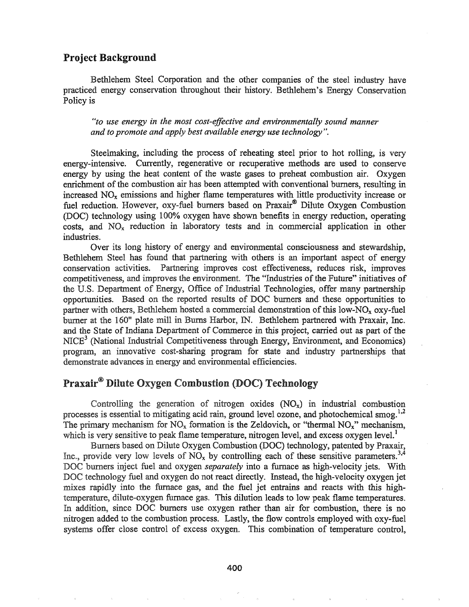# Project Background

Bethlehem Steel Corporation and the other companies of the steel industry have practiced energy conservation throughout their history. Bethlehem's Energy Conservation Policy is

<sup>H</sup> *to use energy in the most cost-effective and environmentally sound manner and to promote and apply best available energy use technology"..*

Steelmaking, including the process of reheating steel prior to hot rolling, is very energy-intensive. Currently, regenerative or recuperative methods are used to conserve energy by using the heat content of the waste gases to preheat combustion air. Oxygen enrichment of the combustion air has been attempted with conventional burners, resulting in increased  $NO<sub>x</sub>$  emissions and higher flame temperatures with little productivity increase or fuel reduction. However, oxy-fuel burners based on Praxair® Dilute Oxygen Combustion (DOC) technology using 100% oxygen have shown benefits in energy reduction, operating costs, and NOx reduction in laboratory tests and in commercial application in other industries.

Over its long history of energy and environmental consciousness and stewardship, Bethlehem Steel has found that partnering with others is an important aspect of energy conservation activities. Partnering improves cost effectiveness, reduces risk, improves competitiveness, and improves the environment. The "Industries of the Future" initiatives of the U.S. Department of Energy, Office of Industrial Technologies, offer many partnership opportunities. Based on the reported results of OC burners and these opportunities to partner with others, Bethlehem hosted a commercial demonstration of this low-NO<sub>x</sub> oxy-fuel burner at the 160" plate mill in Burns Harbor, IN. Bethlehem partnered with Praxair, Inc\$ and the State of Indiana Department of Commerce in this project, carried out as part of the NICE<sup>3</sup> (National Industrial Competitiveness through Energy, Environment, and Economics) program, an innovative cost-sharing program for state and industry partnerships that demonstrate advances in energy and environmental efficiencies.

# Praxair<sup>®</sup> Dilute Oxygen Combustion (DOC) Technology

Controlling the generation of nitrogen oxides  $(NO_x)$  in industrial combustion processes is essential to mitigating acid rain, ground level ozone, and photochemical smog.<sup>1,2</sup> The primary mechanism for  $NO_x$  formation is the Zeldovich, or "thermal  $NO_x$ " mechanism, which is very sensitive to peak flame temperature, nitrogen level, and excess oxygen level.<sup>1</sup>

Burners based on Dilute Oxygen Combustion (DOC) technology, patented by Praxair, provide very low levels of  $NO_x$  by controlling each of these sensitive parameters.<sup>3,4</sup> DOC burners inject fuel and oxygen *separately* into a furnace as high-velocity jets. With DOC technology fuel and oxygen do not react directly. Instead, the high-velocity oxygen jet mixes rapidly into the furnace gas, and the fuel jet entrains and reacts with this hightemperature, dilute-oxygen furnace gas. This dilution leads to low peak flame temperatures. In addition, since DOC burners use oxygen rather than air for combustion, there is no nitrogen added to the combustion process. Lastly, the flow controls employed with oxy-fuel systems offer close control of excess oxygen. This combination of temperature control,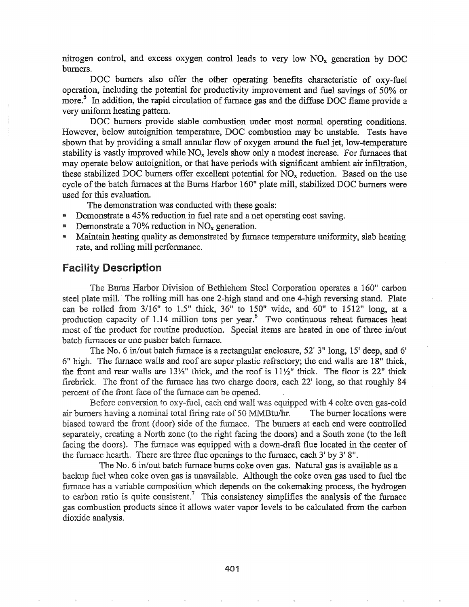nitrogen control, and excess oxygen control leads to very low  $NO<sub>x</sub>$  generation by DOC burners.

DOC burners also offer the other operating benefits characteristic of oxy-fuel operation, including the potential for productivity improvement and fuel savings of 50% or more.<sup>5</sup> In addition, the rapid circulation of furnace gas and the diffuse DOC flame provide a very uniform heating pattern.

DOC burners provide stable combustion under most normal operating conditions. However, below autoignition temperature, DOC combustion may be unstable. Tests have shown that by providing a small annular flow of oxygen around the fuel jet, low-temperature stability is vastly improved while  $NO<sub>x</sub>$  levels show only a modest increase. For furnaces that may operate below autoignition, or that have periods with significant ambient air infiltration, these stabilized DOC burners offer excellent potential for  $NO<sub>x</sub>$  reduction. Based on the use cycle ofthe batch furnaces at the Burns Harbor 160" plate mill, stabilized DOC burners were used for this evaluation.

The demonstration was conducted with these goals:

- **EXECUTE:** Demonstrate a 45% reduction in fuel rate and a net operating cost saving.
- **Demonstrate a 70% reduction in NO<sub>x</sub> generation.**
- Maintain heating quality as demonstrated by furnace temperature uniformity, slab heating rate, and rolling mill performance.

# **Facility Description**

The Burns Harbor Division of Bethlehem Steel Corporation operates a 160" carbon steel plate mill. The rolling mill has one 2-high stand and one 4-high reversing stand. Plate can be rolled from  $3/16$ " to  $1.5$ " thick,  $36$ " to  $150$ " wide, and  $60$ " to  $1512$ " long, at a production capacity of 1.14 million tons per year.<sup>6</sup> Two continuous reheat furnaces heat most of the product for routine production. Special items are heated in one of three in/out batch furnaces or one pusher batch furnace.

The No. 6 in/out batch furnace is a rectangular enclosure,  $52'$  3" long,  $15'$  deep, and 6'  $6$ " high. The furnace walls and roof are super plastic refractory; the end walls are  $18$ " thick, the front and rear walls are  $13\frac{1}{2}$ " thick, and the roof is  $11\frac{1}{2}$ " thick. The floor is 22" thick firebrick. The front of the furnace has two charge doors, each  $22'$  long, so that roughly 84 percent of the front face of the furnace can be opened.

was equipped with 4 coke oven gas-cold air burners having a nominal total firing rate of 50 MMBtu/hr. The burner locations were biased toward the front (door) side of the furnace. The burners at each end were controlled separately, creating a North zone (to the right facing the doors) and a South zone (to the left facing the doors). The furnace was equipped with a down-draft flue located in the center the furnace hearth. There are three flue openings to the furnace, each 3' by 3' 8".

The No.6 in/out batch furnace burns coke oven gas. Natural gas is available as a backup fuel when coke oven gas is unavailable. Although the coke oven gas used to fuel the furnace has a variable composition which depends on the cokemaking process, the hydrogen to carbon ratio is quite consistent.<sup>7</sup> This consistency simplifies the analysis of the furnace gas combustion products since it allows water vapor levels to be calculated from the carbon dioxide analysis.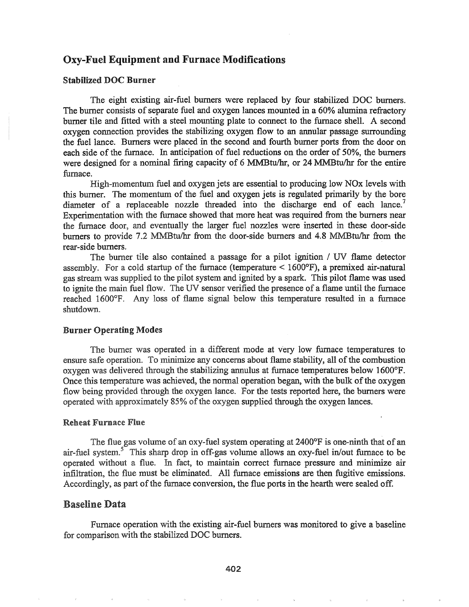# Oxy-Fuel Equipment and Furnace Modifications

# Stabilized DOC Burner

The eight existing air-fuel burners were replaced by four stabilized DOC burners. The burner consists of separate fuel and oxygen lances mounted in a 60% alumina refractory burner tile and fitted with a steel mounting plate to connect to the furnace shell. A second oxygen connection provides the stabilizing oxygen flow to an annular passage surrounding the fuel lance. Burners were placed in the second and fourth burner ports from the door on each side of the furnace. In anticipation of fuel reductions on the order of 50%, the burners were designed for a nominal firing capacity of  $6$  MMBtu/hr, or 24 MMBtu/hr for the entire furnace.

High-momentum fuel and oxygen jets are essential to producing low NOx levels with this burner. The momentum of the fuel and oxygen jets is regulated primarily by the bore diameter of a replaceable nozzle threaded into the discharge end of each lance.<sup>'</sup> Experimentation with the furnace showed that more heat was required from the burners near the furnace door, and eventually the larger fuel nozzles were inserted in these door-side burners to provide 7.2 MMBtu/hr from the door-side burners and 4.8 MMBtu/hr from the rear-side burners..

The burner tile also contained a passage for a pilot ignition / UV flame detector assembly. For a cold startup of the furnace (temperature  $\leq 1600^{\circ}$ F), a premixed air-natural gas stream was supplied to the pilot system and ignited by a spark.. This pilot flame was used to ignite the main fuel flow.. The UV sensor verified the presence of a flame until the furnace reached 1600°F. Any loss of flame signal below this temperature resulted in a furnace shutdown..

#### **Burner Operating Modes**

The burner was operated in a different mode at very low furnace temperatures to ensure safe operation. To minimize any concerns about flame stability, all of the combustion oxygen was delivered through the stabilizing annulus at furnace temperatures below 1600°F. Once this temperature was achieved, the normal operation began, with the bulk of the oxygen flow being provided through the oxygen lance. For the tests reported here, the burners were operated with approximately 85% of the oxygen supplied through the oxygen lances.

#### **Reheat Furnace Flue**

The flue gas volume of an oxy-fuel system operating at 2400°F is one-ninth that of an air-fuel system.<sup>5</sup> This sharp drop in off-gas volume allows an oxy-fuel in/out furnace to be operated without a flue. In fact, to maintain correct furnace pressure and minimize air infiltration, the flue must be eliminated. All furnace emissions are then fugitive emissions.. Accordingly, as part of the furnace conversion, the flue ports in the hearth were sealed off.

#### **Baseline Data**

Furnace operation with the existing air-fuel burners was monitored to give a baseline for comparison with the stabilized DOC burners.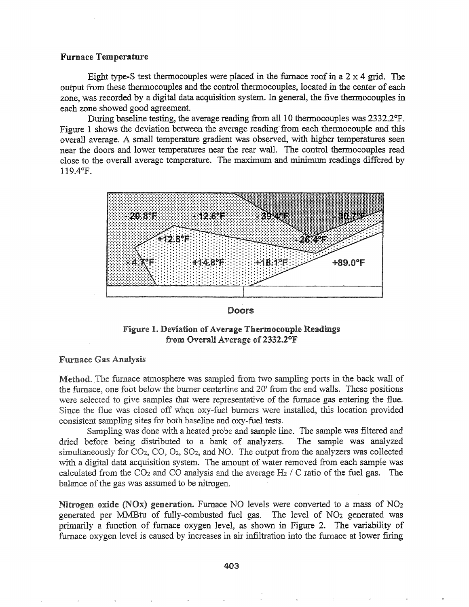#### Furnace Temperature

Eight type-S test thermocouples were placed in the furnace roof in a  $2 \times 4$  grid. The output from these thermocouples and the control thermocouples, located in the center of each zone, was recorded by a digital data acquisition system. In general, the five thermocouples in each zone showed good agreement.

During baseline testing, the average reading from all 10 thermocouples was 2332.2°F. Figure 1 shows the deviation between the average reading'from each thermocouple and this overall average. A small temperature gradient was observed, with higher temperatures seen near the doors and lower temperatures near the rear wall. The control thermocouples read close to the overall average temperature. The maximum and minimum readings differed by 119.4°P..



#### Doors

Figure 1. Deviation of Average Thermocouple Readings from Overall Average of  $2332.2^{\circ}$ F

# **Furnace Gas Analysis**

Method. The furnace atmosphere was sampled from two sampling ports in the back wall of the furnace, one foot below the burner centerline and 20' from the end walls. These positions were selected to give samples that were representative of the furnace gas entering the flue. Since the flue was closed off when oxy-fuel burners were installed, this location provided consistent sampling sites for both baseline and oxy-fuel tests.

Sampling was done with a heated probe and sample line. The sample was filtered and dried before being distributed to a bank of analyzers. The sample was analyzed simultaneously for  $CO<sub>2</sub>$ ,  $CO<sub>2</sub>$ ,  $SO<sub>2</sub>$ , and NO. The output from the analyzers was collected with a digital data acquisition system. The amount of water removed from each sample was calculated from the  $CO<sub>2</sub>$  and  $CO$  analysis and the average H<sub>2</sub> / C ratio of the fuel gas. The balance of the gas was assumed to be nitrogen.

Nitrogen oxide (NOx) generation. Furnace NO levels were converted to a mass of NO<sub>2</sub> generated per MMBtu of fully-combusted fuel gas.. The level of *NOz* generated was primarily a function of furnace oxygen level, as shown in Figure 2. The variability of furnace oxygen level is caused by increases in air infiltration into the furnace at lower firing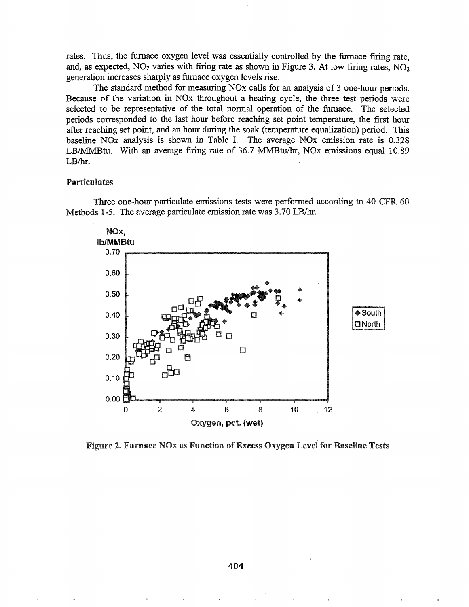rates. Thus, the furnace oxygen level was essentially controlled by the furnace firing rate, and, as expected,  $NO<sub>2</sub>$  varies with firing rate as shown in Figure 3. At low firing rates,  $NO<sub>2</sub>$ generation increases sharply as furnace oxygen levels rise.

The standard method for measuring NOx calls for an analysis of 3 one-hour periods. Because of the variation in NOx throughout a heating cycle, the three test periods were selected to be representative of the total normal operation of the furnace. The selected periods corresponded to the last hour before reaching set point temperature, the first hour after reaching set point, and an hour during the soak (temperature equalization) period. This baseline NOx analysis is shown in Table I. The average NOx emission rate is 0.328 LB/MMBtu. With an average firing rate of 36.7 MMBtu/hr, NOx emissions equal 10.89 LB/hr.

### Particulates

Three one-hour particulate emissions tests were performed according to 40 CFR 60 Methods 1-5. The average particulate emission rate was 3.70 LB/hr.



Figure 2. Furnace NOx as Function of Excess Oxygen Level for Baseline Tests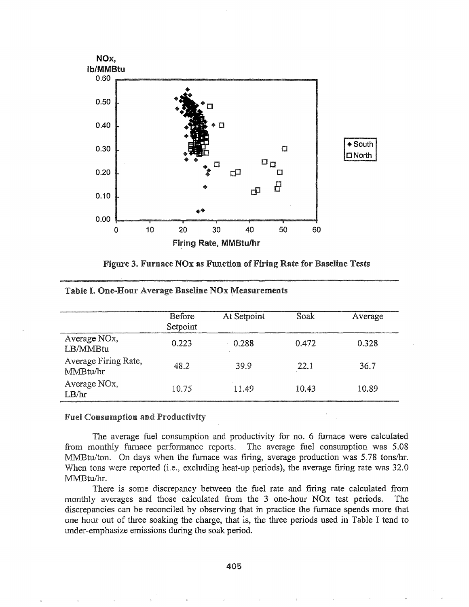



|                                       | <b>Before</b><br>Setpoint | At Setpoint | Soak  | Average |
|---------------------------------------|---------------------------|-------------|-------|---------|
| Average NO <sub>x</sub> ,<br>LB/MMBtu | 0.223                     | 0.288       | 0.472 | 0.328   |
| Average Firing Rate,<br>MMBtu/hr      | 48.2                      | 39.9        | 22.1  | 36.7    |
| Average NO <sub>x</sub> ,<br>LB/hr    | 10.75                     | 11.49       | 10.43 | 10.89   |

#### Table I. One-Hour Average Baseline NOx Measurements

### **Fuel Consumption and Productivity**

The average fuel consumption and productivity for no. 6 furnace were calculated from monthly furnace performance reports. The average fuel consumption was 5.08 MMBtu/ton. On days when the furnace was firing, average production was 5.78 tons/hr. When tons were reported (i.e., excluding heat-up periods), the average firing rate was 32.0 MMBtu/hr.

There is some discrepancy between the fuel rate and firing rate calculated from monthly averages and those calculated from the 3 one-hour NO<sub>x</sub> test periods. The discrepancies can be reconciled by observing that in practice the furnace spends more that one hour out of three soaking the charge, that is, the three periods used in Table I tend to under-emphasize emissions during the soak period.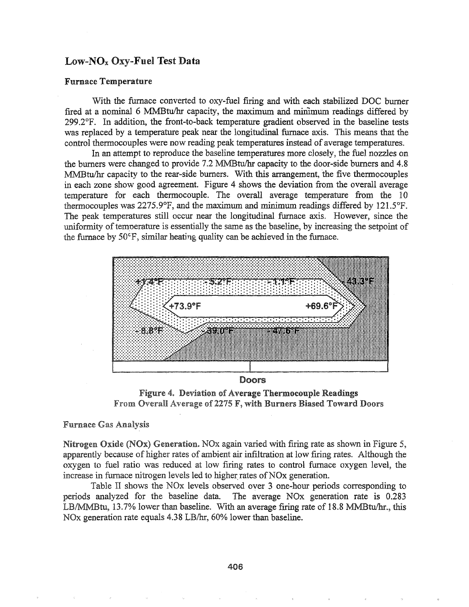# $Low-NO<sub>x</sub> O<sub>XY</sub>$ -Fuel Test Data

#### Furnace Temperature

With the furnace converted to oxy-fuel firing and with each stabilized DOC burner fired at a nominal 6 MMBtu/hr capacity, the maximum and minimum readings differed by 299.2°F. In addition, the front-to-back temperature gradient observed in the baseline tests was replaced by a temperature peak near the longitudinal furnace axis. This means that the control thermocouples were now reading peak temperatures instead of average temperatures..

In an attempt to reproduce the baseline temperatures more closely, the fuel nozzles on the burners were changed to provide 7.2 MMBtu/hr capacity to the door-side burners and 4.8 MMBtu/hr capacity to the rear-side burners. With this arrangement, 'the five thermocouples in each zone show good agreement. Figure 4 shows the deviation from the overall average temperature for each thermocouple. The overall average temperature from the 10 thermocouples was  $2275.9^{\circ}F$ , and the maximum and minimum readings differed by  $121.5^{\circ}F$ . The peak temperatures still occur near the longitudinal furnace axis. However, since the uniformity of temperature is essentially the same as the baseline, by increasing the setpoint of the furnace by  $50^{\circ}$ F, similar heating quality can be achieved in the furnace.



Figure 4. Deviation of Average Thermocouple Readings From Overall Average of 2275 F, with Burners Biased Toward Doors

#### **Furnace Gas Analysis**

Nitrogen Oxide (NOx) Generation. NOx again varied with firing rate as shown in Figure 5, apparently because of higher rates of ambient air infiltration at low fIring rates. Although the oxygen to fuel ratio was reduced at low firing rates to control furnace oxygen level, the increase in furnace nitrogen levels led to higher rates of NO<sub>x</sub> generation.

Table II shows the NOx levels observed oyer 3 one-hour periods corresponding to periods analyzed for the baseline data. The average NOx generation rate is 0.283 LB/MMBtu, 13.7% lower than baseline. With an average frring rate of 18.8 MMBtu/hr., this NOx generation rate equals 4.38 LB/hr, 60% lower than baseline.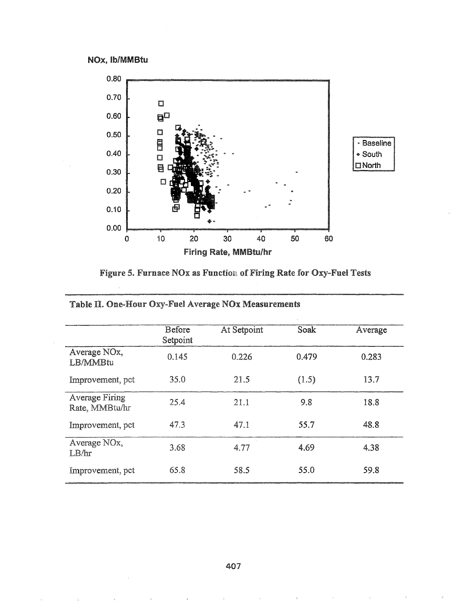



Figure 5. Furnace NOx as Function of Firing Rate for Oxy-Fuel Tests

|                                         | Before<br>Setpoint | At Setpoint | Soak  | Average |
|-----------------------------------------|--------------------|-------------|-------|---------|
| Average NO <sub>x</sub> ,<br>LB/MMBtu   | 0.145              | 0.226       | 0.479 | 0.283   |
| Improvement, pct                        | 35.0               | 21.5        | (1.5) | 13.7    |
| <b>Average Firing</b><br>Rate, MMBtu/hr | 25.4               | 21.1        | 9.8   | 18.8    |
| Improvement, pct                        | 47.3               | 47.1        | 55.7  | 48.8    |
| Average NO <sub>x</sub> ,<br>LB/hr      | 3.68               | 4.77        | 4.69  | 4.38    |
| Improvement, pct                        | 65.8               | 58.5        | 55.0  | 59.8    |

# Table II. One-Hour Oxy-Fuel Average NOx Measurements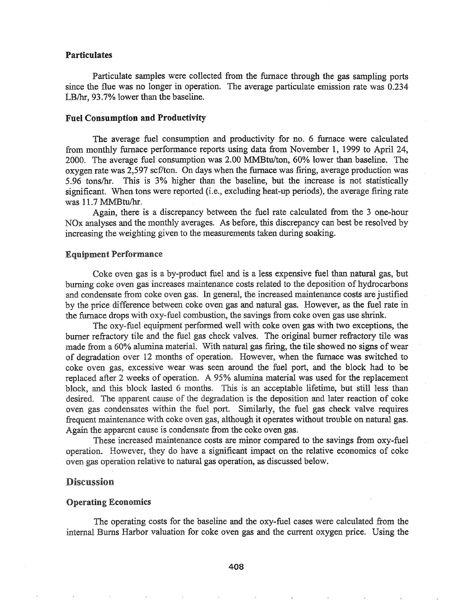### Particulates

Particulate samples were collected from the furnace through the gas sampling ports since the flue was no longer in operation. The average particulate emission rate was 0.234 LB/hr, 93.7% lower than the baseline.

#### Fuel Consumption and Productivity

The average fuel consumption and productivity for no. 6 furnace were calculated from monthly furnace performance reports using data from November 1, 1999 to April 24, 2000. The average fuel consumption was 2.00 MMBtu/ton, 60% lower than baseline. The oxygen rate was 2,597 scf/ton. On days when the furnace was firing, average production was 5.96 tons/hr. This is 3% higher than the baseline, but the increase is not statistically significant. When tons were reported (i.e., excluding heat-up periods), the average firing rate was 11.7 MMBtu/hr.

Again, there is a discrepancy between the fuel rate calculated from the 3 one-hour NO<sub>x</sub> analyses and the monthly averages. As before, this discrepancy can best be resolved by increasing the weighting given to the measurements taken during soaking.

#### Equipment Performance

Coke oven gas is a by-product fuel and is a less expensive fuel than natural gas, but burning coke oven gas increases maintenance costs related to the deposition of hydrocarbons and condensate from coke oven gas. In general, the increased maintenance costs are justified by the price difference between coke oven gas and natural gas. However, as the fuel rate in furnace drops with oxy-fuel combustion, the savings from coke oven gas use shrink..

The oxy-fuel equipment performed well with coke oven gas with two exceptions, the burner refractory tile and the fuel gas check valves. The original burner refractory tile was made from a 60% alumina material. With natural gas firing, the tile showed no signs of wear of degradation over 12 months of operation. However, when the furnace was switched to coke oven gas, excessive wear was seen around the fuel port, and the block had to be replaced after 2 weeks of operation. A 95% alumina material was used for the replacement block, and this block lasted 6 months. This is an acceptable lifetime, but still less than desired. The apparent cause of the degradation is the deposition and later reaction of coke oven gas condensates within the fuel port. Similarly, the fuel gas check valve requires frequent maintenance with coke oven gas, although it operates without trouble on natural gas. Again the apparent cause is condensate from the coke oven gas.

These increased maintenance costs are minor compared to the savings from oxy-fuel operation. However, they do have a significant impact on the relative economics of coke oven gas operation relative to natural gas operation, as discussed below.

# **Discussion**

#### Operating Economics

The operating costs for the baseline and the oxy-fuel cases were calculated from the internal Burns Harbor valuation for coke oven gas and the current oxygen price. Using the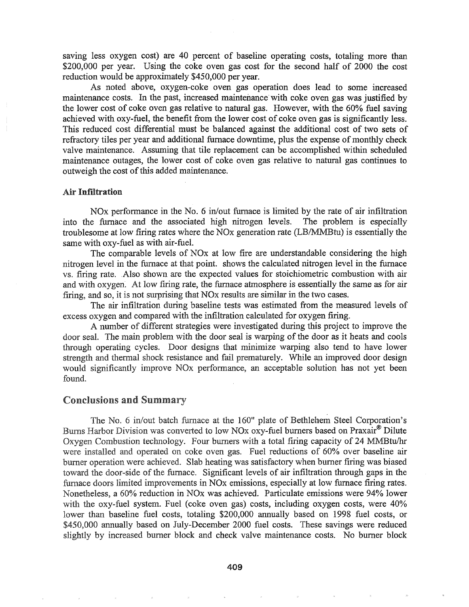saving less oxygen cost) are 40 percent of baseline operating costs, totaling more than \$200,000 per year. Using the coke oven gas cost for the second half of 2000 the cost reduction would be approximately \$450,000 per year.

As noted above, oxygen-coke oven gas operation does lead to some increased maintenance costs. In the past, increased maintenance with coke oven gas was justified by the lower cost of coke oven gas relative to natural gas. However, with the 60% fuel saving achieved with oxy-fuel, the benefit from the lower cost of coke oven gas is significantly less. This reduced cost differential must be balanced against the additional cost of two sets of refractory tiles per year and additional furnace downtime, plus the expense of monthly check valve maintenance. Assuming that tile replacement can be accomplished within scheduled maintenance outages, the lower cost of coke oven gas relative to natural gas continues to outweigh the cost of this added maintenance.

### Air Infiltration

NO<sub>x</sub> performance in the No. 6 in/out furnace is limited by the rate of air infiltration into the furnace and the associated high nitrogen levels. The problem is especially troublesome at low firing rates where the NO<sub>x</sub> generation rate (LB/MMBtu) is essentially the same with oxy-fuel as with air-fuel.

The comparable levels of NOx at low fire are understandable considering the high nitrogen level in the furnace at that point. shows the calculated nitrogen level in the furnace vs. firing rate. Also shown are the expected values for stoichiometric combustion with air and with oxygen. At low firing rate, the furnace atmosphere is essentially the same as for air firing, and so, it is not surprising that NOx results are similar in the two cases.

The air infiltration during baseline tests was estimated from the measured levels of excess oxygen and compared with the infiltration calculated for oxygen firing.

A number of different strategies were investigated during this project to improve the door seal. The main problem with the door seal is warping of the door as it heats and cools through operating cycles. Door designs that minimize warping also tend to have lower strength and thermal shock resistance and fail prematurely. While an improved door design would significantly improve NO<sub>x</sub> performance, an acceptable solution has not yet been found.

#### Conclusions and Summary

The No. 6 in/out batch furnace at the 160" plate of Bethlehem Steel Corporation's Burns Harbor Division was converted to low NO<sub>x</sub> oxy-fuel burners based on Praxair<sup>®</sup> Dilute Oxygen Combustion technology. Four burners with a total firing capacity of 24 MMBtu/hr were installed and operated on coke oven gas. Fuel reductions of 60% over baseline air burner operation were achieved. Slab heating was satisfactory when burner firing was biased toward the door-side of the furnace. Significant levels of air infiltration through gaps in the furnace doors limited improvements in NOx emissions, especially at low furnace firing rates. Nonetheless, a 60% reduction in NOx was achieved. Particulate emissions were 94% lower with the oxy-fuel system. Fuel (coke oven gas) costs, including oxygen costs, were 40% lower than baseline fuel costs, totaling \$200,000 annually based on 1998 fuel costs, or \$450,000 annually based on July-December 2000 fuel costs. These savings were reduced slightly by increased burner block and check valve maintenance costs. No burner block